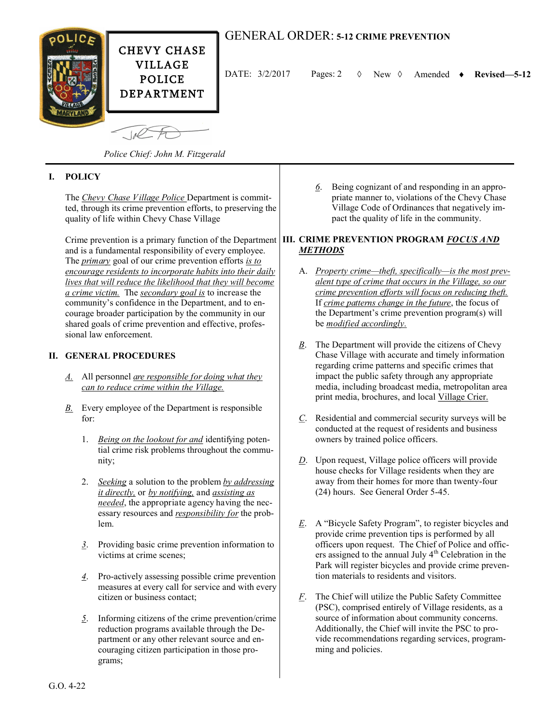

# GENERAL ORDER: **5-12 CRIME PREVENTION**

DATE:  $3/2/2017$  Pages: 2  $\Diamond$  New  $\Diamond$  Amended  $\bullet$  Revised—5-12

*Police Chief: John M. Fitzgerald*

## **I. POLICY**

The *Chevy Chase Village Police* Department is committed, through its crime prevention efforts, to preserving the quality of life within Chevy Chase Village

and is a fundamental responsibility of every employee. The *primary* goal of our crime prevention efforts *is to encourage residents to incorporate habits into their daily lives that will reduce the likelihood that they will become a crime victim.* The *secondary goal is* to increase the community's confidence in the Department, and to encourage broader participation by the community in our shared goals of crime prevention and effective, professional law enforcement.

#### **II. GENERAL PROCEDURES**

- *A.* All personnel *are responsible for doing what they can to reduce crime within the Village.*
- *B.* Every employee of the Department is responsible for:
	- 1. *Being on the lookout for and* identifying potential crime risk problems throughout the community;
	- 2. *Seeking* a solution to the problem *by addressing it directly,* or *by notifying,* and *assisting as needed*, the appropriate agency having the necessary resources and *responsibility for* the problem.
	- *3*. Providing basic crime prevention information to victims at crime scenes;
	- *4*. Pro-actively assessing possible crime prevention measures at every call for service and with every citizen or business contact;
	- *5*. Informing citizens of the crime prevention/crime reduction programs available through the Department or any other relevant source and encouraging citizen participation in those programs;

*6*. Being cognizant of and responding in an appropriate manner to, violations of the Chevy Chase Village Code of Ordinances that negatively impact the quality of life in the community.

#### Crime prevention is a primary function of the Department **III. CRIME PREVENTION PROGRAM** *FOCUS AND METHODS*

- A. *Property crime—theft, specifically—is the most prevalent type of crime that occurs in the Village, so our crime prevention efforts will focus on reducing theft.* If *crime patterns change in the future*, the focus of the Department's crime prevention program(s) will be *modified accordingly.*
- *B*. The Department will provide the citizens of Chevy Chase Village with accurate and timely information regarding crime patterns and specific crimes that impact the public safety through any appropriate media, including broadcast media, metropolitan area print media, brochures, and local Village Crier.
- *C*. Residential and commercial security surveys will be conducted at the request of residents and business owners by trained police officers.
- *D*. Upon request, Village police officers will provide house checks for Village residents when they are away from their homes for more than twenty-four (24) hours. See General Order 5-45.
- *E*. A "Bicycle Safety Program", to register bicycles and provide crime prevention tips is performed by all officers upon request. The Chief of Police and officers assigned to the annual July  $4<sup>th</sup>$  Celebration in the Park will register bicycles and provide crime prevention materials to residents and visitors.
- *F*. The Chief will utilize the Public Safety Committee (PSC), comprised entirely of Village residents, as a source of information about community concerns. Additionally, the Chief will invite the PSC to provide recommendations regarding services, programming and policies.